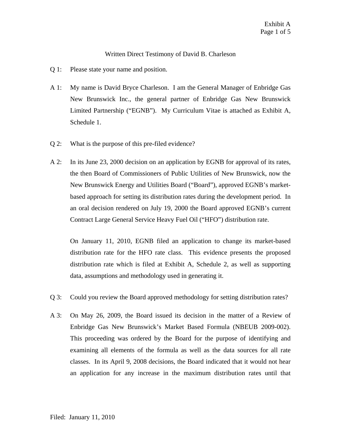## Written Direct Testimony of David B. Charleson

- Q 1: Please state your name and position.
- A 1: My name is David Bryce Charleson. I am the General Manager of Enbridge Gas New Brunswick Inc., the general partner of Enbridge Gas New Brunswick Limited Partnership ("EGNB"). My Curriculum Vitae is attached as Exhibit A, Schedule 1.
- Q 2: What is the purpose of this pre-filed evidence?
- A 2: In its June 23, 2000 decision on an application by EGNB for approval of its rates, the then Board of Commissioners of Public Utilities of New Brunswick, now the New Brunswick Energy and Utilities Board ("Board"), approved EGNB's marketbased approach for setting its distribution rates during the development period. In an oral decision rendered on July 19, 2000 the Board approved EGNB's current Contract Large General Service Heavy Fuel Oil ("HFO") distribution rate.

On January 11, 2010, EGNB filed an application to change its market-based distribution rate for the HFO rate class. This evidence presents the proposed distribution rate which is filed at Exhibit A, Schedule 2, as well as supporting data, assumptions and methodology used in generating it.

- Q 3: Could you review the Board approved methodology for setting distribution rates?
- A 3: On May 26, 2009, the Board issued its decision in the matter of a Review of Enbridge Gas New Brunswick's Market Based Formula (NBEUB 2009-002). This proceeding was ordered by the Board for the purpose of identifying and examining all elements of the formula as well as the data sources for all rate classes. In its April 9, 2008 decisions, the Board indicated that it would not hear an application for any increase in the maximum distribution rates until that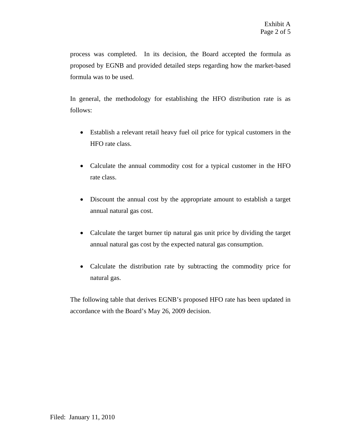process was completed. In its decision, the Board accepted the formula as proposed by EGNB and provided detailed steps regarding how the market-based formula was to be used.

In general, the methodology for establishing the HFO distribution rate is as follows:

- Establish a relevant retail heavy fuel oil price for typical customers in the HFO rate class.
- Calculate the annual commodity cost for a typical customer in the HFO rate class.
- Discount the annual cost by the appropriate amount to establish a target annual natural gas cost.
- Calculate the target burner tip natural gas unit price by dividing the target annual natural gas cost by the expected natural gas consumption.
- Calculate the distribution rate by subtracting the commodity price for natural gas.

The following table that derives EGNB's proposed HFO rate has been updated in accordance with the Board's May 26, 2009 decision.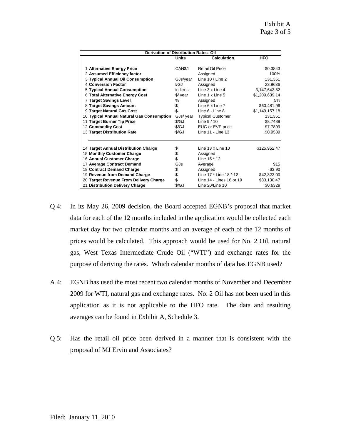$\parallel$ 

| <b>Derivation of Distribution Rates-Oil</b> |                      |                            |                |
|---------------------------------------------|----------------------|----------------------------|----------------|
|                                             | Units                | Calculation                | <b>HFO</b>     |
| 1 Alternative Energy Price                  | CAN <sub>\$/I</sub>  | Retail Oil Price           | \$0.3843       |
| 2 Assumed Efficiency factor                 |                      | Assigned                   | 100%           |
| 3 Typical Annual Oil Consumption            | GJs/year             | Line $10 /$ Line 2         | 131,351        |
| 4 Conversion Factor                         | I/G,I                | Assigned                   | 23.9636        |
| 5 Typical Annual Consumption                | in litres            | Line 3 x Line 4            | 3,147,642.82   |
| 6 Total Alternative Energy Cost             | \$/ year             | Line $1 \times$ Line $5$   | \$1,209,639.14 |
| <b>7 Target Savings Level</b>               | $\%$                 | Assigned                   | 5%             |
| 8 Target Savings Amount                     | \$                   | Line 6 x Line 7            | \$60,481.96    |
| 9 Target Natural Gas Cost                   | \$                   | Line 6 - Line 8            | \$1,149,157.18 |
| 10 Typical Annual Natural Gas Consumption   | GJs/ year            | <b>Typical Customer</b>    | 131,351        |
| 11 Target Burner Tip Price                  | $\sqrt{\mathcal{G}}$ | Line $9/10$                | \$8.7488       |
| 12 Commodity Cost                           | \$/GJ                | EUG or EVP price           | \$7.7899       |
| 13 Target Distribution Rate                 | $\sqrt{\mathcal{G}}$ | Line 11 - Line 13          | \$0.9589       |
|                                             |                      |                            |                |
| 14 Target Annual Distribution Charge        | \$                   | Line $13 \times$ Line $10$ | \$125,952.47   |
| 15 Monthly Customer Charge                  | \$<br>\$             | Assigned<br>Line 15 * 12   |                |
| 16 Annual Customer Charge                   |                      |                            |                |
| 17 Average Contract Demand                  | GJs                  | Average                    | 915            |
| 18 Contract Demand Charge                   | \$<br>\$             | Assigned                   | \$3.90         |
| 19 Revenue from Demand Charge               |                      | Line 17 * Line 18 * 12     | \$42,822.00    |
| 20 Target Revenue From Delivery Charge      | \$                   | Line 14 - Lines 16 or 19   | \$83,130.47    |
| 21 Distribution Delivery Charge             | $\sqrt{\mathcal{G}}$ | Line 20/Line 10            | \$0.6329       |

- Q 4: In its May 26, 2009 decision, the Board accepted EGNB's proposal that market data for each of the 12 months included in the application would be collected each market day for two calendar months and an average of each of the 12 months of prices would be calculated. This approach would be used for No. 2 Oil, natural gas, West Texas Intermediate Crude Oil ("WTI") and exchange rates for the purpose of deriving the rates. Which calendar months of data has EGNB used?
- A 4: EGNB has used the most recent two calendar months of November and December 2009 for WTI, natural gas and exchange rates. No. 2 Oil has not been used in this application as it is not applicable to the HFO rate. The data and resulting averages can be found in Exhibit A, Schedule 3.
- Q 5: Has the retail oil price been derived in a manner that is consistent with the proposal of MJ Ervin and Associates?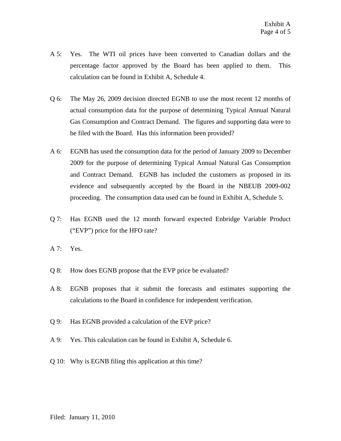- A 5: Yes. The WTI oil prices have been converted to Canadian dollars and the percentage factor approved by the Board has been applied to them. This calculation can be found in Exhibit A, Schedule 4.
- Q 6: The May 26, 2009 decision directed EGNB to use the most recent 12 months of actual consumption data for the purpose of determining Typical Annual Natural Gas Consumption and Contract Demand. The figures and supporting data were to be filed with the Board. Has this information been provided?
- A 6: EGNB has used the consumption data for the period of January 2009 to December 2009 for the purpose of determining Typical Annual Natural Gas Consumption and Contract Demand. EGNB has included the customers as proposed in its evidence and subsequently accepted by the Board in the NBEUB 2009-002 proceeding. The consumption data used can be found in Exhibit A, Schedule 5.
- Q 7: Has EGNB used the 12 month forward expected Enbridge Variable Product ("EVP") price for the HFO rate?
- A 7: Yes.
- Q 8: How does EGNB propose that the EVP price be evaluated?
- A 8: EGNB proposes that it submit the forecasts and estimates supporting the calculations to the Board in confidence for independent verification.
- Q 9: Has EGNB provided a calculation of the EVP price?
- A 9: Yes. This calculation can be found in Exhibit A, Schedule 6.
- Q 10: Why is EGNB filing this application at this time?